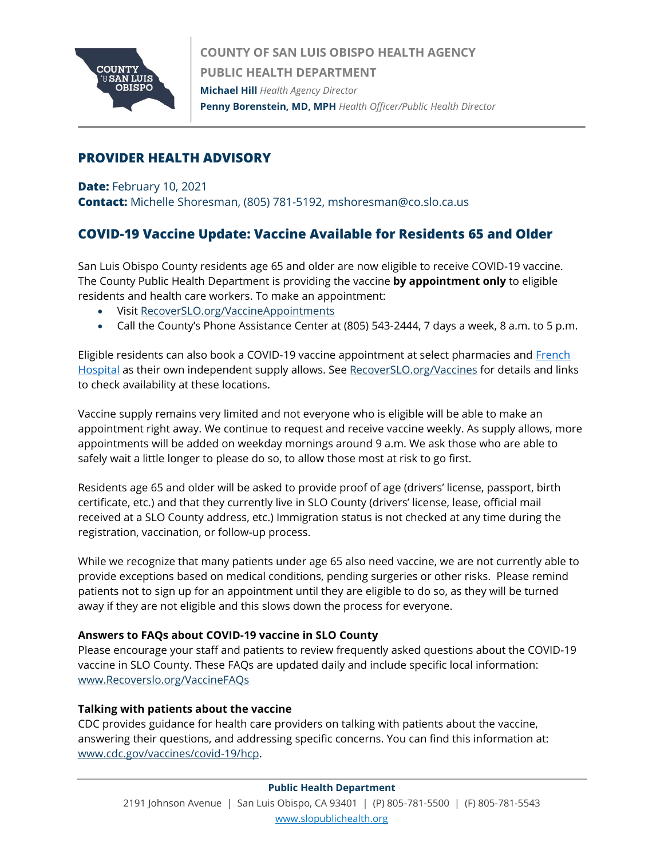

## **PROVIDER HEALTH ADVISORY**

**Date:** February 10, 2021

**Contact:** Michelle Shoresman, (805) 781-5192, mshoresman@co.slo.ca.us

# **COVID-19 Vaccine Update: Vaccine Available for Residents 65 and Older**

San Luis Obispo County residents age 65 and older are now eligible to receive COVID-19 vaccine. The County Public Health Department is providing the vaccine **by appointment only** to eligible residents and health care workers. To make an appointment:

- Visit [RecoverSLO.org/VaccineAppointments](http://www.recoverslo.org/VaccineAppointments)
- Call the County's Phone Assistance Center at (805) 543-2444, 7 days a week, 8 a.m. to 5 p.m.

Eligible residents can also book a COVID-19 vaccine appointment at select pharmacies and French [Hospital](https://www.dignityhealth.org/central-coast/locations/frenchhospital/coronavirus) as their own independent supply allows. See<RecoverSLO.org/Vaccines> for details and links to check availability at these locations.

Vaccine supply remains very limited and not everyone who is eligible will be able to make an appointment right away. We continue to request and receive vaccine weekly. As supply allows, more appointments will be added on weekday mornings around 9 a.m. We ask those who are able to safely wait a little longer to please do so, to allow those most at risk to go first.

Residents age 65 and older will be asked to provide proof of age (drivers' license, passport, birth certificate, etc.) and that they currently live in SLO County (drivers' license, lease, official mail received at a SLO County address, etc.) Immigration status is not checked at any time during the registration, vaccination, or follow-up process.

While we recognize that many patients under age 65 also need vaccine, we are not currently able to provide exceptions based on medical conditions, pending surgeries or other risks. Please remind patients not to sign up for an appointment until they are eligible to do so, as they will be turned away if they are not eligible and this slows down the process for everyone.

### **Answers to FAQs about COVID-19 vaccine in SLO County**

Please encourage your staff and patients to review frequently asked questions about the COVID-19 vaccine in SLO County. These FAQs are updated daily and include specific local information: [www.Recoverslo.org/VaccineFAQs](http://www.recoverslo.org/VaccineFAQs)

## **Talking with patients about the vaccine**

CDC provides guidance for health care providers on talking with patients about the vaccine, answering their questions, and addressing specific concerns. You can find this information at: [www.cdc.gov/vaccines/covid-19/hcp.](http://www.cdc.gov/vaccines/covid-19/hcp)